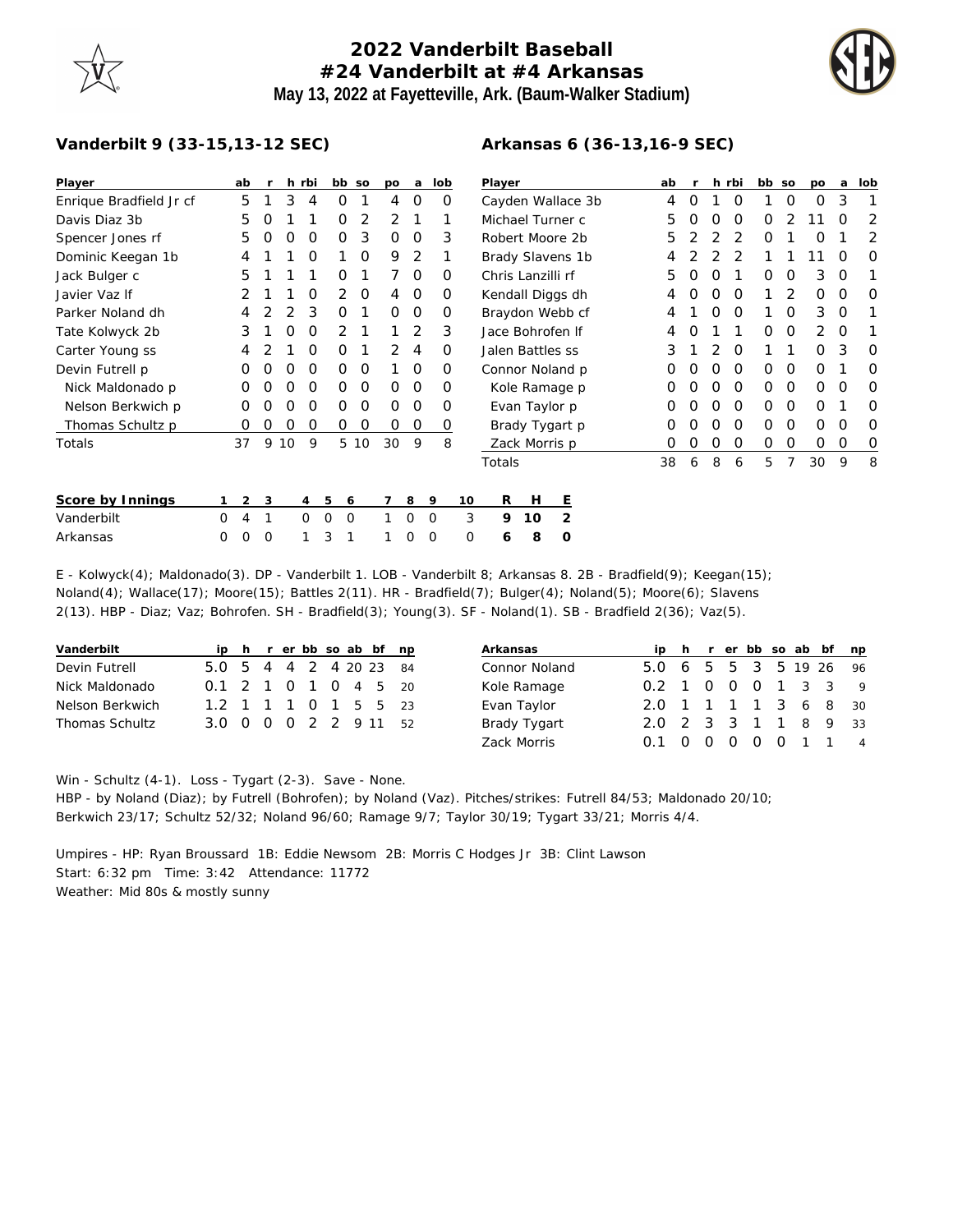## **2022 Vanderbilt Baseball #24 Vanderbilt at #4 Arkansas May 13, 2022 at Fayetteville, Ark. (Baum-Walker Stadium)**



## **Vanderbilt 9 (33-15,13-12 SEC)**

| Player                  |   | ab             |          | h. | rbi            |                         | bb so | po       | a        | lob      |    | Player            |    |                   |  | ab |   |          | h rbi    | bb so |   | po | a        | lob      |
|-------------------------|---|----------------|----------|----|----------------|-------------------------|-------|----------|----------|----------|----|-------------------|----|-------------------|--|----|---|----------|----------|-------|---|----|----------|----------|
| Enrique Bradfield Jr cf |   | 5              |          | 3  | 4              | 0                       |       | 4        | 0        | 0        |    |                   |    | Cayden Wallace 3b |  | 4  | O |          | $\Omega$ |       | 0 | 0  | 3        |          |
| Davis Diaz 3b           |   | 5              | O        |    |                | 0                       | 2     | 2        |          |          |    |                   |    | Michael Turner c  |  | 5  |   | O        | $\Omega$ | O     |   |    | ∩        | 2        |
| Spencer Jones rf        |   | 5              | O        | Ο  | 0              | 0                       | 3     | O        | 0        | 3        |    | Robert Moore 2b   |    |                   |  | 5  |   |          | 2        | O     |   | O  |          | 2        |
| Dominic Keegan 1b       |   | 4              |          |    | 0              |                         | 0     | 9        | 2        |          |    |                   |    | Brady Slavens 1b  |  | 4  |   |          |          |       |   |    | O        | 0        |
| Jack Bulger c           |   | 5              |          |    |                | Ο                       |       |          | $\Omega$ | O        |    | Chris Lanzilli rf |    |                   |  | 5  |   |          |          | O     | 0 | 3  | O        |          |
| Javier Vaz If           |   | 2              |          |    | O              | 2                       | 0     | 4        | 0        | $\Omega$ |    | Kendall Diggs dh  |    |                   |  | 4  |   | $\Omega$ | $\Omega$ |       | 2 | 0  | O        | 0        |
| Parker Noland dh        |   | 4              |          |    | 3              | Ο                       |       | $\Omega$ | $\Omega$ | O        |    | Braydon Webb cf   |    |                   |  | 4  |   | O        | $\Omega$ |       | O | 3  | $\Omega$ |          |
| Tate Kolwyck 2b         |   | 3              |          | Ο  | O              | 2                       |       |          | 2        | 3        |    | Jace Bohrofen If  |    |                   |  | 4  |   |          |          | O     | 0 | 2  | $\Omega$ |          |
| Carter Young ss         |   | 4              |          |    | O              | Ο                       |       | 2        | 4        | $\Omega$ |    | Jalen Battles ss  |    |                   |  | 3  |   | 2        | $\Omega$ |       |   | 0  | 3        | $\Omega$ |
| Devin Futrell p         |   | 0              | O        | Ο  | O              | 0                       | 0     |          | 0        | $\Omega$ |    |                   |    | Connor Noland p   |  | 0  | O | $\Omega$ | $\Omega$ | 0     | 0 | O  |          | 0        |
| Nick Maldonado p        |   | O              | O        | Ο  | O              | O                       | 0     | $\Omega$ | $\Omega$ | $\Omega$ |    |                   |    | Kole Ramage p     |  | 0  |   | O        | $\Omega$ | 0     | O | 0  | O        | $\Omega$ |
| Nelson Berkwich p       |   | O              | O        | Ω  | O              | Ο                       | 0     | $\Omega$ | $\Omega$ | O        |    |                   |    | Evan Taylor p     |  | O  |   | O        | $\Omega$ | 0     | 0 | 0  |          | O        |
| Thomas Schultz p        |   | 0              | 0        | 0  | 0              | 0                       | 0     | 0        | 0        | 0        |    |                   |    | Brady Tygart p    |  | Ο  |   | $\Omega$ | 0        | 0     | 0 | 0  | O        | $\Omega$ |
| Totals                  |   | 37             | 9        | 10 | 9              |                         | 5 10  | 30       | 9        | 8        |    |                   |    | Zack Morris p     |  |    |   | O        | $\Omega$ | 0     | 0 | O  | O        | 0        |
|                         |   |                |          |    |                |                         |       |          |          |          |    | Totals            |    |                   |  | 38 | 6 | 8        | 6        | 5     |   | 30 | 9        | 8        |
| Score by Innings        |   | $\overline{2}$ | 3        |    | $\overline{4}$ | 5                       | 6     |          | 8        | 9        | 10 | R                 | Н  | Е                 |  |    |   |          |          |       |   |    |          |          |
| Vanderbilt              | 0 | 4              |          |    | $\Omega$       | $\Omega$<br>$\mathbf 0$ |       |          | $\circ$  | $\circ$  | 3  | 9                 | 10 | 2                 |  |    |   |          |          |       |   |    |          |          |
| Arkansas                | 0 | 0              | $\Omega$ |    |                | 3                       |       |          | 0        | 0        | 0  | 6                 | 8  | 0                 |  |    |   |          |          |       |   |    |          |          |

E - Kolwyck(4); Maldonado(3). DP - Vanderbilt 1. LOB - Vanderbilt 8; Arkansas 8. 2B - Bradfield(9); Keegan(15); Noland(4); Wallace(17); Moore(15); Battles 2(11). HR - Bradfield(7); Bulger(4); Noland(5); Moore(6); Slavens 2(13). HBP - Diaz; Vaz; Bohrofen. SH - Bradfield(3); Young(3). SF - Noland(1). SB - Bradfield 2(36); Vaz(5).

| Vanderbilt            |                        |  |  |  | ip h r er bb so ab bf np |
|-----------------------|------------------------|--|--|--|--------------------------|
| Devin Futrell         | 5.0 5 4 4 2 4 20 23 84 |  |  |  |                          |
| Nick Maldonado        | 0.1 2 1 0 1 0 4 5 20   |  |  |  |                          |
| Nelson Berkwich       | 1.2 1 1 1 0 1 5 5 23   |  |  |  |                          |
| <b>Thomas Schultz</b> | 3.0 0 0 0 2 2 9 11 52  |  |  |  |                          |

| Arkansas      |                        |  |  |  | ip h r er bb so ab bf np |
|---------------|------------------------|--|--|--|--------------------------|
| Connor Noland | 5.0 6 5 5 3 5 19 26 96 |  |  |  |                          |
| Kole Ramage   | 0.2 1 0 0 0 1 3 3      |  |  |  | $\overline{Q}$           |
| Evan Taylor   | 2.0 1 1 1 1 3 6 8 30   |  |  |  |                          |
| Brady Tygart  | 2.0 2 3 3 1 1 8 9 33   |  |  |  |                          |
| Zack Morris   | O 1                    |  |  |  | 0 0 0 0 0 1 1 4          |

Win - Schultz (4-1). Loss - Tygart (2-3). Save - None.

HBP - by Noland (Diaz); by Futrell (Bohrofen); by Noland (Vaz). Pitches/strikes: Futrell 84/53; Maldonado 20/10; Berkwich 23/17; Schultz 52/32; Noland 96/60; Ramage 9/7; Taylor 30/19; Tygart 33/21; Morris 4/4.

Umpires - HP: Ryan Broussard 1B: Eddie Newsom 2B: Morris C Hodges Jr 3B: Clint Lawson Start: 6:32 pm Time: 3:42 Attendance: 11772 Weather: Mid 80s & mostly sunny

## **Arkansas 6 (36-13,16-9 SEC)**